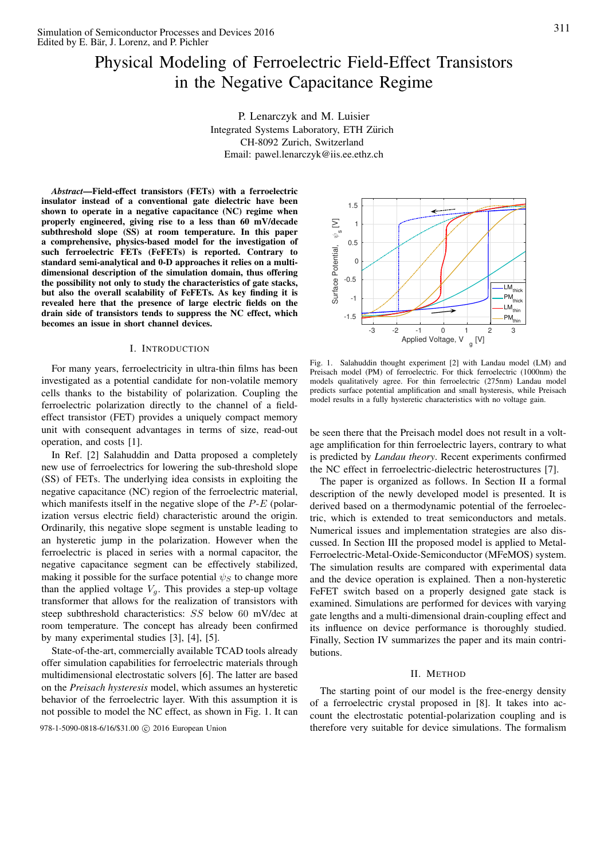# Physical Modeling of Ferroelectric Field-Effect Transistors in the Negative Capacitance Regime

P. Lenarczyk and M. Luisier Integrated Systems Laboratory, ETH Zurich ¨ CH-8092 Zurich, Switzerland Email: pawel.lenarczyk@iis.ee.ethz.ch

*Abstract*—Field-effect transistors (FETs) with a ferroelectric insulator instead of a conventional gate dielectric have been shown to operate in a negative capacitance (NC) regime when properly engineered, giving rise to a less than 60 mV/decade subthreshold slope (SS) at room temperature. In this paper a comprehensive, physics-based model for the investigation of such ferroelectric FETs (FeFETs) is reported. Contrary to standard semi-analytical and 0-D approaches it relies on a multidimensional description of the simulation domain, thus offering the possibility not only to study the characteristics of gate stacks, but also the overall scalability of FeFETs. As key finding it is revealed here that the presence of large electric fields on the drain side of transistors tends to suppress the NC effect, which becomes an issue in short channel devices.

## I. INTRODUCTION

For many years, ferroelectricity in ultra-thin films has been investigated as a potential candidate for non-volatile memory cells thanks to the bistability of polarization. Coupling the ferroelectric polarization directly to the channel of a fieldeffect transistor (FET) provides a uniquely compact memory unit with consequent advantages in terms of size, read-out operation, and costs [1].

In Ref. [2] Salahuddin and Datta proposed a completely new use of ferroelectrics for lowering the sub-threshold slope (SS) of FETs. The underlying idea consists in exploiting the negative capacitance (NC) region of the ferroelectric material, which manifests itself in the negative slope of the  $P-E$  (polarization versus electric field) characteristic around the origin. Ordinarily, this negative slope segment is unstable leading to an hysteretic jump in the polarization. However when the ferroelectric is placed in series with a normal capacitor, the negative capacitance segment can be effectively stabilized, making it possible for the surface potential  $\psi_S$  to change more than the applied voltage  $V_g$ . This provides a step-up voltage transformer that allows for the realization of transistors with steep subthreshold characteristics: SS below 60 mV/dec at room temperature. The concept has already been confirmed by many experimental studies [3], [4], [5].

State-of-the-art, commercially available TCAD tools already offer simulation capabilities for ferroelectric materials through multidimensional electrostatic solvers [6]. The latter are based on the *Preisach hysteresis* model, which assumes an hysteretic behavior of the ferroelectric layer. With this assumption it is not possible to model the NC effect, as shown in Fig. 1. It can

978-1-5090-0818-6/16/\$31.00 © 2016 European Union



Fig. 1. Salahuddin thought experiment [2] with Landau model (LM) and Preisach model (PM) of ferroelectric. For thick ferroelectric (1000nm) the models qualitatively agree. For thin ferroelectric (275nm) Landau model predicts surface potential amplification and small hysteresis, while Preisach model results in a fully hysteretic characteristics with no voltage gain.

be seen there that the Preisach model does not result in a voltage amplification for thin ferroelectric layers, contrary to what is predicted by *Landau theory*. Recent experiments confirmed the NC effect in ferroelectric-dielectric heterostructures [7].

The paper is organized as follows. In Section II a formal description of the newly developed model is presented. It is derived based on a thermodynamic potential of the ferroelectric, which is extended to treat semiconductors and metals. Numerical issues and implementation strategies are also discussed. In Section III the proposed model is applied to Metal-Ferroelectric-Metal-Oxide-Semiconductor (MFeMOS) system. The simulation results are compared with experimental data and the device operation is explained. Then a non-hysteretic FeFET switch based on a properly designed gate stack is examined. Simulations are performed for devices with varying gate lengths and a multi-dimensional drain-coupling effect and its influence on device performance is thoroughly studied. Finally, Section IV summarizes the paper and its main contributions.

## II. METHOD

The starting point of our model is the free-energy density of a ferroelectric crystal proposed in [8]. It takes into account the electrostatic potential-polarization coupling and is therefore very suitable for device simulations. The formalism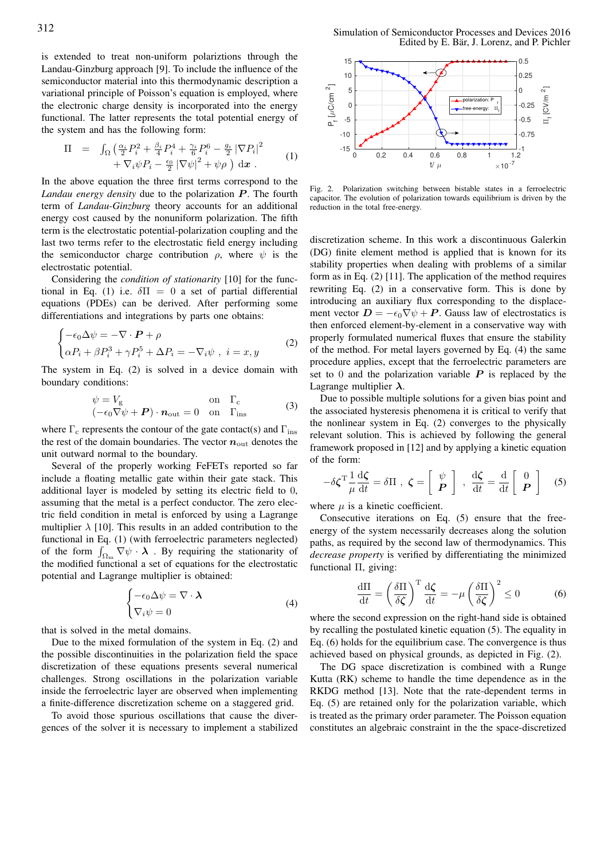is extended to treat non-uniform polariztions through the Landau-Ginzburg approach [9]. To include the influence of the semiconductor material into this thermodynamic description a variational principle of Poisson's equation is employed, where the electronic charge density is incorporated into the energy functional. The latter represents the total potential energy of the system and has the following form:

$$
\Pi = \int_{\Omega} \left( \frac{\alpha_i}{2} P_i^2 + \frac{\beta_i}{4} P_i^4 + \frac{\gamma_i}{6} P_i^6 - \frac{g_i}{2} |\nabla P_i|^2 + \nabla_i \psi P_i - \frac{\epsilon_0}{2} |\nabla \psi|^2 + \psi \rho \right) d\mathbf{x} . \tag{1}
$$

In the above equation the three first terms correspond to the Landau energy density due to the polarization P. The fourth term of *Landau-Ginzburg* theory accounts for an additional energy cost caused by the nonuniform polarization. The fifth term is the electrostatic potential-polarization coupling and the last two terms refer to the electrostatic field energy including the semiconductor charge contribution  $\rho$ , where  $\psi$  is the electrostatic potential.

Considering the *condition of stationarity* [10] for the functional in Eq. (1) i.e.  $\delta \Pi = 0$  a set of partial differential equations (PDEs) can be derived. After performing some differentiations and integrations by parts one obtains:

$$
\begin{cases}\n-\epsilon_0 \Delta \psi = -\nabla \cdot \mathbf{P} + \rho \\
\alpha P_i + \beta P_i^3 + \gamma P_i^5 + \Delta P_i = -\nabla_i \psi \ , \ i = x, y\n\end{cases} \tag{2}
$$

The system in Eq. (2) is solved in a device domain with boundary conditions:

$$
\psi = V_{\rm g} \qquad \text{on} \quad \Gamma_{\rm c} (-\epsilon_0 \nabla \psi + \boldsymbol{P}) \cdot \boldsymbol{n}_{\rm out} = 0 \quad \text{on} \quad \Gamma_{\rm ins}
$$
 (3)

where  $\Gamma_c$  represents the contour of the gate contact(s) and  $\Gamma_{ins}$ the rest of the domain boundaries. The vector  $n_{\text{out}}$  denotes the unit outward normal to the boundary.

Several of the properly working FeFETs reported so far include a floating metallic gate within their gate stack. This additional layer is modeled by setting its electric field to 0 , assuming that the metal is a perfect conductor. The zero electric field condition in metal is enforced by using a Lagrange multiplier  $\lambda$  [10]. This results in an added contribution to the functional in Eq. (1) (with ferroelectric parameters neglected) of the form  $\int_{\Omega_{\text{m}}} \nabla \psi \cdot \boldsymbol{\lambda}$ . By requiring the stationarity of the modified functional a set of equations for the electrostatic potential and Lagrange multiplier is obtained:

$$
\begin{cases}\n-\epsilon_0 \Delta \psi = \nabla \cdot \lambda \\
\nabla_i \psi = 0\n\end{cases}
$$
\n(4)

that is solved in the metal domains.

Due to the mixed formulation of the system in Eq. (2) and the possible discontinuities in the polarization field the space discretization of these equations presents several numerical challenges. Strong oscillations in the polarization variable inside the ferroelectric layer are observed when implementing a finite-difference discretization scheme on a staggered grid.

To avoid those spurious oscillations that cause the divergences of the solver it is necessary to implement a stabilized

312 Simulation of Semiconductor Processes and Devices 2016 Edited by E. Bär, J. Lorenz, and P. Pichler



Fig. 2. Polarization switching between bistable states in a ferroelectric capacitor. The evolution of polarization towards equilibrium is driven by the reduction in the total free-energy.

discretization scheme. In this work a discontinuous Galerkin (DG) finite element method is applied that is known for its stability properties when dealing with problems of a similar form as in Eq. (2) [11]. The application of the method requires rewriting Eq. (2) in a conservative form. This is done by introducing an auxiliary flux corresponding to the displacement vector  $\mathbf{D} = -\epsilon_0 \nabla \psi + \mathbf{P}$ . Gauss law of electrostatics is then enforced element-by-element in a conservative way with properly formulated numerical fluxes that ensure the stability of the method. For metal layers governed by Eq. (4) the same procedure applies, except that the ferroelectric parameters are set to 0 and the polarization variable  $P$  is replaced by the Lagrange multiplier  $\lambda$ .

Due to possible multiple solutions for a given bias point and the associated hysteresis phenomena it is critical to verify that the nonlinear system in Eq. (2) converges to the physically relevant solution. This is achieved by following the general framework proposed in [12] and by applying a kinetic equation of the form:

$$
-\delta\zeta^{\mathrm{T}}\frac{1}{\mu}\frac{\mathrm{d}\zeta}{\mathrm{d}t} = \delta\Pi \ , \ \zeta = \left[ \begin{array}{c} \psi \\ \boldsymbol{P} \end{array} \right] \ , \ \frac{\mathrm{d}\zeta}{\mathrm{d}t} = \frac{\mathrm{d}}{\mathrm{d}t} \left[ \begin{array}{c} 0 \\ \boldsymbol{P} \end{array} \right] \tag{5}
$$

where  $\mu$  is a kinetic coefficient.

Consecutive iterations on Eq. (5) ensure that the freeenergy of the system necessarily decreases along the solution paths, as required by the second law of thermodynamics. This *decrease property* is verified by differentiating the minimized functional Π, giving:

$$
\frac{\mathrm{d}\Pi}{\mathrm{d}t} = \left(\frac{\delta\Pi}{\delta\zeta}\right)^{\mathrm{T}} \frac{\mathrm{d}\zeta}{\mathrm{d}t} = -\mu \left(\frac{\delta\Pi}{\delta\zeta}\right)^2 \le 0 \tag{6}
$$

where the second expression on the right-hand side is obtained by recalling the postulated kinetic equation (5). The equality in Eq. (6) holds for the equilibrium case. The convergence is thus achieved based on physical grounds, as depicted in Fig. (2).

The DG space discretization is combined with a Runge Kutta (RK) scheme to handle the time dependence as in the RKDG method [13]. Note that the rate-dependent terms in Eq. (5) are retained only for the polarization variable, which is treated as the primary order parameter. The Poisson equation constitutes an algebraic constraint in the the space-discretized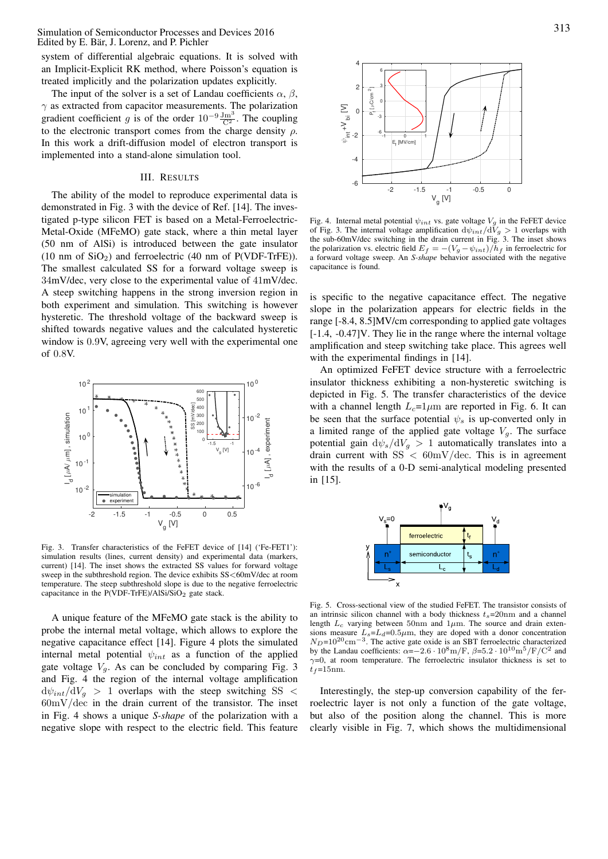Simulation of Semiconductor Processes and Devices 2016 Edited by E. Bär, J. Lorenz, and P. Pichler

system of differential algebraic equations. It is solved with an Implicit-Explicit RK method, where Poisson's equation is treated implicitly and the polarization updates explicitly.

The input of the solver is a set of Landau coefficients  $\alpha$ ,  $\beta$ ,  $\gamma$  as extracted from capacitor measurements. The polarization gradient coefficient g is of the order  $10^{-9} \frac{\text{Jm}^3}{\text{C}^2}$  $\frac{\text{Jm}^{\circ}}{\text{C}^2}$ . The coupling to the electronic transport comes from the charge density  $\rho$ . In this work a drift-diffusion model of electron transport is implemented into a stand-alone simulation tool.

## III. RESULTS

The ability of the model to reproduce experimental data is demonstrated in Fig. 3 with the device of Ref. [14]. The investigated p-type silicon FET is based on a Metal-Ferroelectric-Metal-Oxide (MFeMO) gate stack, where a thin metal layer (50 nm of AlSi) is introduced between the gate insulator  $(10 \text{ nm of } \text{SiO}_2)$  and ferroelectric  $(40 \text{ nm of } \text{P(VDF-TrFE}))$ . The smallest calculated SS for a forward voltage sweep is 34mV/dec, very close to the experimental value of 41mV/dec. A steep switching happens in the strong inversion region in both experiment and simulation. This switching is however hysteretic. The threshold voltage of the backward sweep is shifted towards negative values and the calculated hysteretic window is 0 . 9V, agreeing very well with the experimental one of 0 . 8V. The nearest velocity is the control of the method of the electric field. This is the electric field. This feature is the spectra of the electric field. This feature is the electric field. This feature is the electric fiel



Fig. 3. Transfer characteristics of the FeFET device of [14] ('Fe-FET1'): simulation results (lines, current density) and experimental data (markers, current) [14]. The inset shows the extracted SS values for forward voltage sweep in the subthreshold region. The device exhibits SS<60mV/dec at room temperature. The steep subthreshold slope is due to the negative ferroelectric capacitance in the  $P(VDF-TrFE)/AISi/SiO<sub>2</sub>$  gate stack.

A unique feature of the MFeMO gate stack is the ability to probe the internal metal voltage, which allows to explore the negative capacitance effect [14]. Figure 4 plots the simulated internal metal potential  $\psi_{int}$  as a function of the applied gate voltage  $V_g$ . As can be concluded by comparing Fig. 3 and Fig. 4 the region of the internal voltage amplification  ${\rm d}\psi_{int}/{\rm d}V_{q}$  > 1 overlaps with the steep switching SS <  $60 \text{mV}/\text{dec}$  in the drain current of the transistor. The inset in Fig. 4 shows a unique *S-shape* of the polarization with a



Fig. 4. Internal metal potential  $\psi_{int}$  vs. gate voltage  $V_g$  in the FeFET device of Fig. 3. The internal voltage amplification  $d\psi_{int}/dV_g > 1$  overlaps with the sub-60mV/dec switching in the drain current in Fig. 3. The inset shows the polarization vs. electric field  $E_f = -(V_g - \psi_{int})/h_f$  in ferroelectric for a forward voltage sweep. An *S-shape* behavior associated with the negative capacitance is found.

is specific to the negative capacitance effect. The negative slope in the polarization appears for electric fields in the range [-8.4, 8.5]MV/cm corresponding to applied gate voltages [-1.4, -0.47]V. They lie in the range where the internal voltage amplification and steep switching take place. This agrees well with the experimental findings in [14].

An optimized FeFET device structure with a ferroelectric insulator thickness exhibiting a non-hysteretic switching is depicted in Fig. 5. The transfer characteristics of the device with a channel length  $L_c=1 \mu m$  are reported in Fig. 6. It can be seen that the surface potential  $\psi_s$  is up-converted only in a limited range of the applied gate voltage  $V_g$ . The surface potential gain  $\frac{d\psi_s}{dV_g} > 1$  automatically translates into a drain current with  $SS < 60 \text{mV}/\text{dec}$ . This is in agreement with the results of a 0-D semi-analytical modeling presented in [15].



Fig. 5. Cross-sectional view of the studied FeFET. The transistor consists of an intrinsic silicon channel with a body thickness  $t_s = 20$ nm and a channel length  $L_c$  varying between 50nm and 1 $\mu$ m. The source and drain extensions measure  $L_s = L_d = 0.5 \mu m$ , they are doped with a donor concentration  $N_D$ =10<sup>20</sup>cm<sup>-3</sup>. The active gate oxide is an SBT ferroelectric characterized by the Landau coefficients:  $\alpha = -2.6 \cdot 10^8 \text{m/F}$ ,  $\beta = 5.2 \cdot 10^{10} \text{m}^5/\text{F/C}^2$  and  $\gamma$ =0, at room temperature. The ferroelectric insulator thickness is set to  $t_f$ =15nm.

Interestingly, the step-up conversion capability of the ferroelectric layer is not only a function of the gate voltage, but also of the position along the channel. This is more clearly visible in Fig. 7, which shows the multidimensional